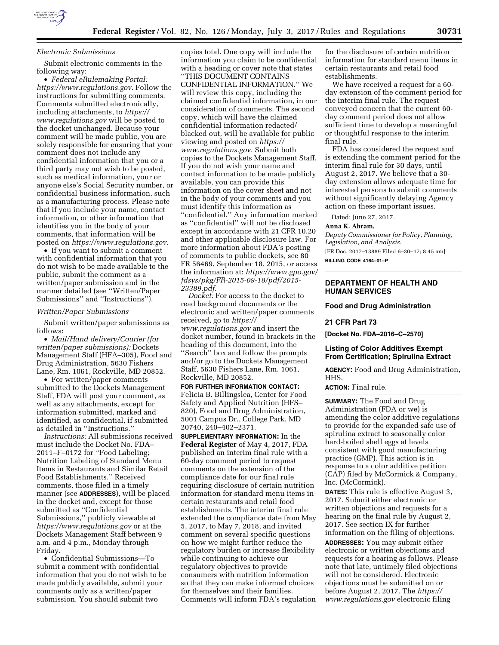

### *Electronic Submissions*

Submit electronic comments in the following way:

• *Federal eRulemaking Portal: <https://www.regulations.gov>*. Follow the instructions for submitting comments. Comments submitted electronically, including attachments, to *[https://](https://www.regulations.gov) [www.regulations.gov](https://www.regulations.gov)* will be posted to the docket unchanged. Because your comment will be made public, you are solely responsible for ensuring that your comment does not include any confidential information that you or a third party may not wish to be posted, such as medical information, your or anyone else's Social Security number, or confidential business information, such as a manufacturing process. Please note that if you include your name, contact information, or other information that identifies you in the body of your comments, that information will be posted on *<https://www.regulations.gov>*.

• If you want to submit a comment with confidential information that you do not wish to be made available to the public, submit the comment as a written/paper submission and in the manner detailed (see ''Written/Paper Submissions'' and ''Instructions'').

### *Written/Paper Submissions*

Submit written/paper submissions as follows:

• *Mail/Hand delivery/Courier (for written/paper submissions):* Dockets Management Staff (HFA–305), Food and Drug Administration, 5630 Fishers Lane, Rm. 1061, Rockville, MD 20852.

• For written/paper comments submitted to the Dockets Management Staff, FDA will post your comment, as well as any attachments, except for information submitted, marked and identified, as confidential, if submitted as detailed in ''Instructions.''

*Instructions:* All submissions received must include the Docket No. FDA– 2011–F–0172 for ''Food Labeling; Nutrition Labeling of Standard Menu Items in Restaurants and Similar Retail Food Establishments.'' Received comments, those filed in a timely manner (see **ADDRESSES**), will be placed in the docket and, except for those submitted as ''Confidential Submissions,'' publicly viewable at *<https://www.regulations.gov>* or at the Dockets Management Staff between 9 a.m. and 4 p.m., Monday through Friday.

• Confidential Submissions—To submit a comment with confidential information that you do not wish to be made publicly available, submit your comments only as a written/paper submission. You should submit two

copies total. One copy will include the information you claim to be confidential with a heading or cover note that states ''THIS DOCUMENT CONTAINS CONFIDENTIAL INFORMATION.'' We will review this copy, including the claimed confidential information, in our consideration of comments. The second copy, which will have the claimed confidential information redacted/ blacked out, will be available for public viewing and posted on *[https://](https://www.regulations.gov) [www.regulations.gov](https://www.regulations.gov)*. Submit both copies to the Dockets Management Staff. If you do not wish your name and contact information to be made publicly available, you can provide this information on the cover sheet and not in the body of your comments and you must identify this information as ''confidential.'' Any information marked as ''confidential'' will not be disclosed except in accordance with 21 CFR 10.20 and other applicable disclosure law. For more information about FDA's posting of comments to public dockets, see 80 FR 56469, September 18, 2015, or access the information at: *[https://www.gpo.gov/](https://www.gpo.gov/fdsys/pkg/FR-2015-09-18/pdf/2015-23389.pdf) [fdsys/pkg/FR-2015-09-18/pdf/2015-](https://www.gpo.gov/fdsys/pkg/FR-2015-09-18/pdf/2015-23389.pdf)  [23389.pdf](https://www.gpo.gov/fdsys/pkg/FR-2015-09-18/pdf/2015-23389.pdf)*.

*Docket:* For access to the docket to read background documents or the electronic and written/paper comments received, go to *[https://](https://www.regulations.gov) [www.regulations.gov](https://www.regulations.gov)* and insert the docket number, found in brackets in the heading of this document, into the ''Search'' box and follow the prompts and/or go to the Dockets Management Staff, 5630 Fishers Lane, Rm. 1061, Rockville, MD 20852.

**FOR FURTHER INFORMATION CONTACT:**  Felicia B. Billingslea, Center for Food Safety and Applied Nutrition (HFS– 820), Food and Drug Administration, 5001 Campus Dr., College Park, MD 20740, 240–402–2371.

**SUPPLEMENTARY INFORMATION:** In the **Federal Register** of May 4, 2017, FDA published an interim final rule with a 60-day comment period to request comments on the extension of the compliance date for our final rule requiring disclosure of certain nutrition information for standard menu items in certain restaurants and retail food establishments. The interim final rule extended the compliance date from May 5, 2017, to May 7, 2018, and invited comment on several specific questions on how we might further reduce the regulatory burden or increase flexibility while continuing to achieve our regulatory objectives to provide consumers with nutrition information so that they can make informed choices for themselves and their families. Comments will inform FDA's regulation

for the disclosure of certain nutrition information for standard menu items in certain restaurants and retail food establishments.

We have received a request for a 60 day extension of the comment period for the interim final rule. The request conveyed concern that the current 60 day comment period does not allow sufficient time to develop a meaningful or thoughtful response to the interim final rule.

FDA has considered the request and is extending the comment period for the interim final rule for 30 days, until August 2, 2017. We believe that a 30 day extension allows adequate time for interested persons to submit comments without significantly delaying Agency action on these important issues.

Dated: June 27, 2017.

# **Anna K. Abram,**

*Deputy Commissioner for Policy, Planning, Legislation, and Analysis.*  [FR Doc. 2017–13889 Filed 6–30–17; 8:45 am]

**BILLING CODE 4164–01–P** 

# **DEPARTMENT OF HEALTH AND HUMAN SERVICES**

### **Food and Drug Administration**

### **21 CFR Part 73**

**[Docket No. FDA–2016–C–2570]** 

# **Listing of Color Additives Exempt From Certification; Spirulina Extract**

**AGENCY:** Food and Drug Administration, HHS.

**ACTION:** Final rule.

**SUMMARY:** The Food and Drug Administration (FDA or we) is amending the color additive regulations to provide for the expanded safe use of spirulina extract to seasonally color hard-boiled shell eggs at levels consistent with good manufacturing practice (GMP). This action is in response to a color additive petition (CAP) filed by McCormick & Company, Inc. (McCormick).

**DATES:** This rule is effective August 3, 2017. Submit either electronic or written objections and requests for a hearing on the final rule by August 2, 2017. See section IX for further information on the filing of objections.

**ADDRESSES:** You may submit either electronic or written objections and requests for a hearing as follows. Please note that late, untimely filed objections will not be considered. Electronic objections must be submitted on or before August 2, 2017. The *[https://](https://www.regulations.gov) [www.regulations.gov](https://www.regulations.gov)* electronic filing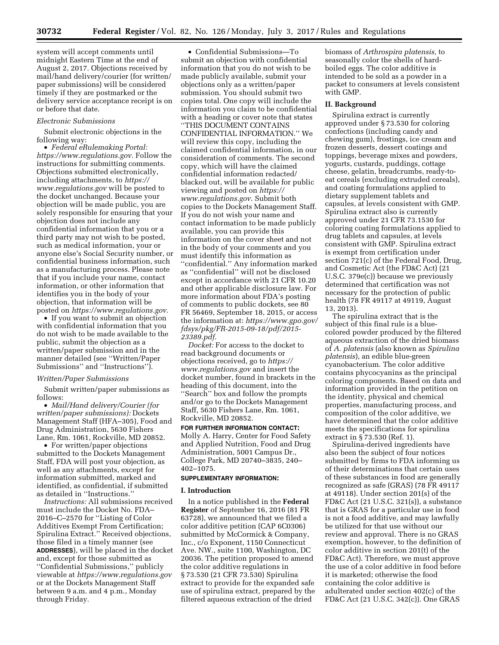system will accept comments until midnight Eastern Time at the end of August 2, 2017. Objections received by mail/hand delivery/courier (for written/ paper submissions) will be considered timely if they are postmarked or the delivery service acceptance receipt is on or before that date.

### *Electronic Submissions*

Submit electronic objections in the following way:

• *Federal eRulemaking Portal: [https://www.regulations.gov.](https://www.regulations.gov)* Follow the instructions for submitting comments. Objections submitted electronically, including attachments, to *[https://](https://www.regulations.gov) [www.regulations.gov](https://www.regulations.gov)* will be posted to the docket unchanged. Because your objection will be made public, you are solely responsible for ensuring that your objection does not include any confidential information that you or a third party may not wish to be posted, such as medical information, your or anyone else's Social Security number, or confidential business information, such as a manufacturing process. Please note that if you include your name, contact information, or other information that identifies you in the body of your objection, that information will be posted on *[https://www.regulations.gov.](https://www.regulations.gov)* 

• If you want to submit an objection with confidential information that you do not wish to be made available to the public, submit the objection as a written/paper submission and in the manner detailed (see ''Written/Paper Submissions'' and ''Instructions'').

# *Written/Paper Submissions*

Submit written/paper submissions as follows:

• *Mail/Hand delivery/Courier (for written/paper submissions):* Dockets Management Staff (HFA–305), Food and Drug Administration, 5630 Fishers Lane, Rm. 1061, Rockville, MD 20852.

• For written/paper objections submitted to the Dockets Management Staff, FDA will post your objection, as well as any attachments, except for information submitted, marked and identified, as confidential, if submitted as detailed in ''Instructions.''

*Instructions:* All submissions received must include the Docket No. FDA– 2016–C–2570 for ''Listing of Color Additives Exempt From Certification; Spirulina Extract.'' Received objections, those filed in a timely manner (see **ADDRESSES**), will be placed in the docket and, except for those submitted as ''Confidential Submissions,'' publicly viewable at *<https://www.regulations.gov>* or at the Dockets Management Staff between 9 a.m. and 4 p.m., Monday through Friday.

• Confidential Submissions—To submit an objection with confidential information that you do not wish to be made publicly available, submit your objections only as a written/paper submission. You should submit two copies total. One copy will include the information you claim to be confidential with a heading or cover note that states ''THIS DOCUMENT CONTAINS CONFIDENTIAL INFORMATION.'' We will review this copy, including the claimed confidential information, in our consideration of comments. The second copy, which will have the claimed confidential information redacted/ blacked out, will be available for public viewing and posted on *[https://](https://www.regulations.gov) [www.regulations.gov](https://www.regulations.gov)*. Submit both copies to the Dockets Management Staff. If you do not wish your name and contact information to be made publicly available, you can provide this information on the cover sheet and not in the body of your comments and you must identify this information as ''confidential.'' Any information marked as ''confidential'' will not be disclosed except in accordance with 21 CFR 10.20 and other applicable disclosure law. For more information about FDA's posting of comments to public dockets, see 80 FR 56469, September 18, 2015, or access the information at: *[https://www.gpo.gov/](https://www.gpo.gov/fdsys/pkg/FR-2015-09-18/pdf/2015-23389.pdf) [fdsys/pkg/FR-2015-09-18/pdf/2015-](https://www.gpo.gov/fdsys/pkg/FR-2015-09-18/pdf/2015-23389.pdf)  [23389.pdf](https://www.gpo.gov/fdsys/pkg/FR-2015-09-18/pdf/2015-23389.pdf)*.

*Docket:* For access to the docket to read background documents or objections received, go to *[https://](https://www.regulations.gov) [www.regulations.gov](https://www.regulations.gov)* and insert the docket number, found in brackets in the heading of this document, into the ''Search'' box and follow the prompts and/or go to the Dockets Management Staff, 5630 Fishers Lane, Rm. 1061, Rockville, MD 20852.

**FOR FURTHER INFORMATION CONTACT:**  Molly A. Harry, Center for Food Safety and Applied Nutrition, Food and Drug Administration, 5001 Campus Dr., College Park, MD 20740–3835, 240– 402–1075.

### **SUPPLEMENTARY INFORMATION:**

#### **I. Introduction**

In a notice published in the **Federal Register** of September 16, 2016 (81 FR 63728), we announced that we filed a color additive petition (CAP 6C0306) submitted by McCormick & Company, Inc., c/o Exponent, 1150 Connecticut Ave. NW., suite 1100, Washington, DC 20036. The petition proposed to amend the color additive regulations in § 73.530 (21 CFR 73.530) Spirulina extract to provide for the expanded safe use of spirulina extract, prepared by the filtered aqueous extraction of the dried

biomass of *Arthrospira platensis,* to seasonally color the shells of hardboiled eggs. The color additive is intended to be sold as a powder in a packet to consumers at levels consistent with GMP.

### **II. Background**

Spirulina extract is currently approved under § 73.530 for coloring confections (including candy and chewing gum), frostings, ice cream and frozen desserts, dessert coatings and toppings, beverage mixes and powders, yogurts, custards, puddings, cottage cheese, gelatin, breadcrumbs, ready-toeat cereals (excluding extruded cereals), and coating formulations applied to dietary supplement tablets and capsules, at levels consistent with GMP. Spirulina extract also is currently approved under 21 CFR 73.1530 for coloring coating formulations applied to drug tablets and capsules, at levels consistent with GMP. Spirulina extract is exempt from certification under section 721(c) of the Federal Food, Drug, and Cosmetic Act (the FD&C Act) (21 U.S.C. 379e(c)) because we previously determined that certification was not necessary for the protection of public health (78 FR 49117 at 49119, August 13, 2013).

The spirulina extract that is the subject of this final rule is a bluecolored powder produced by the filtered aqueous extraction of the dried biomass of *A. platensis* (also known as *Spirulina platensis*), an edible blue-green cyanobacterium. The color additive contains phycocyanins as the principal coloring components. Based on data and information provided in the petition on the identity, physical and chemical properties, manufacturing process, and composition of the color additive, we have determined that the color additive meets the specifications for spirulina extract in § 73.530 (Ref. 1).

Spirulina-derived ingredients have also been the subject of four notices submitted by firms to FDA informing us of their determinations that certain uses of these substances in food are generally recognized as safe (GRAS) (78 FR 49117 at 49118). Under section 201(s) of the FD&C Act (21 U.S.C. 321(s)), a substance that is GRAS for a particular use in food is not a food additive, and may lawfully be utilized for that use without our review and approval. There is no GRAS exemption, however, to the definition of color additive in section 201(t) of the FD&C Act). Therefore, we must approve the use of a color additive in food before it is marketed; otherwise the food containing the color additive is adulterated under section 402(c) of the FD&C Act (21 U.S.C. 342(c)). One GRAS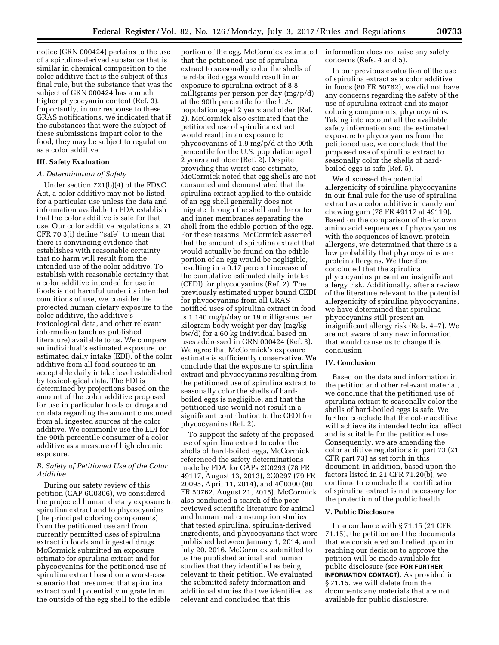notice (GRN 000424) pertains to the use of a spirulina-derived substance that is similar in chemical composition to the color additive that is the subject of this final rule, but the substance that was the subject of GRN 000424 has a much higher phycocyanin content (Ref. 3). Importantly, in our response to these GRAS notifications, we indicated that if the substances that were the subject of these submissions impart color to the food, they may be subject to regulation as a color additive.

# **III. Safety Evaluation**

# *A. Determination of Safety*

Under section 721(b)(4) of the FD&C Act, a color additive may not be listed for a particular use unless the data and information available to FDA establish that the color additive is safe for that use. Our color additive regulations at 21 CFR 70.3(i) define ''safe'' to mean that there is convincing evidence that establishes with reasonable certainty that no harm will result from the intended use of the color additive. To establish with reasonable certainty that a color additive intended for use in foods is not harmful under its intended conditions of use, we consider the projected human dietary exposure to the color additive, the additive's toxicological data, and other relevant information (such as published literature) available to us. We compare an individual's estimated exposure, or estimated daily intake (EDI), of the color additive from all food sources to an acceptable daily intake level established by toxicological data. The EDI is determined by projections based on the amount of the color additive proposed for use in particular foods or drugs and on data regarding the amount consumed from all ingested sources of the color additive. We commonly use the EDI for the 90th percentile consumer of a color additive as a measure of high chronic exposure.

# *B. Safety of Petitioned Use of the Color Additive*

During our safety review of this petition (CAP 6C0306), we considered the projected human dietary exposure to spirulina extract and to phycocyanins (the principal coloring components) from the petitioned use and from currently permitted uses of spirulina extract in foods and ingested drugs. McCormick submitted an exposure estimate for spirulina extract and for phycocyanins for the petitioned use of spirulina extract based on a worst-case scenario that presumed that spirulina extract could potentially migrate from the outside of the egg shell to the edible

portion of the egg. McCormick estimated that the petitioned use of spirulina extract to seasonally color the shells of hard-boiled eggs would result in an exposure to spirulina extract of 8.8 milligrams per person per day (mg/p/d) at the 90th percentile for the U.S. population aged 2 years and older (Ref. 2). McCormick also estimated that the petitioned use of spirulina extract would result in an exposure to phycocyanins of 1.9 mg/p/d at the 90th percentile for the U.S. population aged 2 years and older (Ref. 2). Despite providing this worst-case estimate, McCormick noted that egg shells are not consumed and demonstrated that the spirulina extract applied to the outside of an egg shell generally does not migrate through the shell and the outer and inner membranes separating the shell from the edible portion of the egg. For these reasons, McCormick asserted that the amount of spirulina extract that would actually be found on the edible portion of an egg would be negligible, resulting in a 0.17 percent increase of the cumulative estimated daily intake (CEDI) for phycocyanins (Ref. 2). The previously estimated upper bound CEDI for phycocyanins from all GRASnotified uses of spirulina extract in food is 1,140 mg/p/day or 19 milligrams per kilogram body weight per day (mg/kg bw/d) for a 60 kg individual based on uses addressed in GRN 000424 (Ref. 3). We agree that McCormick's exposure estimate is sufficiently conservative. We conclude that the exposure to spirulina extract and phycocyanins resulting from the petitioned use of spirulina extract to seasonally color the shells of hardboiled eggs is negligible, and that the petitioned use would not result in a significant contribution to the CEDI for phycocyanins (Ref. 2).

To support the safety of the proposed use of spirulina extract to color the shells of hard-boiled eggs, McCormick referenced the safety determinations made by FDA for CAPs 2C0293 (78 FR 49117, August 13, 2013), 2C0297 (79 FR 20095, April 11, 2014), and 4C0300 (80 FR 50762, August 21, 2015). McCormick also conducted a search of the peerreviewed scientific literature for animal and human oral consumption studies that tested spirulina, spirulina-derived ingredients, and phycocyanins that were published between January 1, 2014, and July 20, 2016. McCormick submitted to us the published animal and human studies that they identified as being relevant to their petition. We evaluated the submitted safety information and additional studies that we identified as relevant and concluded that this

information does not raise any safety concerns (Refs. 4 and 5).

In our previous evaluation of the use of spirulina extract as a color additive in foods (80 FR 50762), we did not have any concerns regarding the safety of the use of spirulina extract and its major coloring components, phycocyanins. Taking into account all the available safety information and the estimated exposure to phycocyanins from the petitioned use, we conclude that the proposed use of spirulina extract to seasonally color the shells of hardboiled eggs is safe (Ref. 5).

We discussed the potential allergenicity of spirulina phycocyanins in our final rule for the use of spirulina extract as a color additive in candy and chewing gum (78 FR 49117 at 49119). Based on the comparison of the known amino acid sequences of phycocyanins with the sequences of known protein allergens, we determined that there is a low probability that phycocyanins are protein allergens. We therefore concluded that the spirulina phycocyanins present an insignificant allergy risk. Additionally, after a review of the literature relevant to the potential allergenicity of spirulina phycocyanins, we have determined that spirulina phycocyanins still present an insignificant allergy risk (Refs. 4–7). We are not aware of any new information that would cause us to change this conclusion.

### **IV. Conclusion**

Based on the data and information in the petition and other relevant material, we conclude that the petitioned use of spirulina extract to seasonally color the shells of hard-boiled eggs is safe. We further conclude that the color additive will achieve its intended technical effect and is suitable for the petitioned use. Consequently, we are amending the color additive regulations in part 73 (21 CFR part 73) as set forth in this document. In addition, based upon the factors listed in 21 CFR 71.20(b), we continue to conclude that certification of spirulina extract is not necessary for the protection of the public health.

### **V. Public Disclosure**

In accordance with § 71.15 (21 CFR 71.15), the petition and the documents that we considered and relied upon in reaching our decision to approve the petition will be made available for public disclosure (see **FOR FURTHER INFORMATION CONTACT**). As provided in § 71.15, we will delete from the documents any materials that are not available for public disclosure.